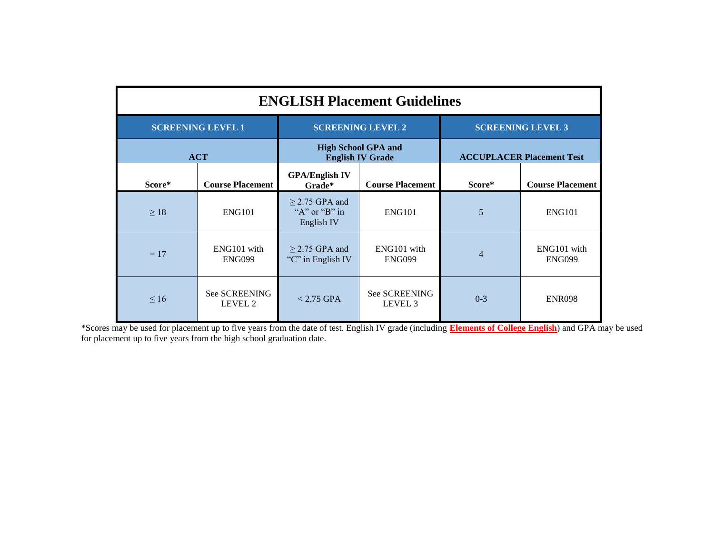| <b>ENGLISH Placement Guidelines</b> |                              |                                                         |                                            |                                  |                              |  |  |  |
|-------------------------------------|------------------------------|---------------------------------------------------------|--------------------------------------------|----------------------------------|------------------------------|--|--|--|
| <b>SCREENING LEVEL 1</b>            |                              | <b>SCREENING LEVEL 2</b>                                |                                            | <b>SCREENING LEVEL 3</b>         |                              |  |  |  |
| <b>ACT</b>                          |                              | <b>High School GPA and</b><br><b>English IV Grade</b>   |                                            | <b>ACCUPLACER Placement Test</b> |                              |  |  |  |
| Score*                              | <b>Course Placement</b>      | <b>GPA/English IV</b><br>Grade*                         | <b>Course Placement</b>                    | Score*                           | <b>Course Placement</b>      |  |  |  |
| $\geq 18$                           | <b>ENG101</b>                | $>$ 2.75 GPA and<br>" $A$ " or " $B$ " in<br>English IV | <b>ENG101</b>                              | 5                                | <b>ENG101</b>                |  |  |  |
| $= 17$                              | ENG101 with<br><b>ENG099</b> | $>$ 2.75 GPA and<br>"C" in English IV                   | ENG101 with<br><b>ENG099</b>               | 4                                | ENG101 with<br><b>ENG099</b> |  |  |  |
| $\leq 16$                           | See SCREENING<br>LEVEL 2     | $< 2.75$ GPA                                            | <b>See SCREENING</b><br>LEVEL <sub>3</sub> | $0 - 3$                          | <b>ENR098</b>                |  |  |  |

\*Scores may be used for placement up to five years from the date of test. English IV grade (including **Elements of College English**) and GPA may be used for placement up to five years from the high school graduation date.